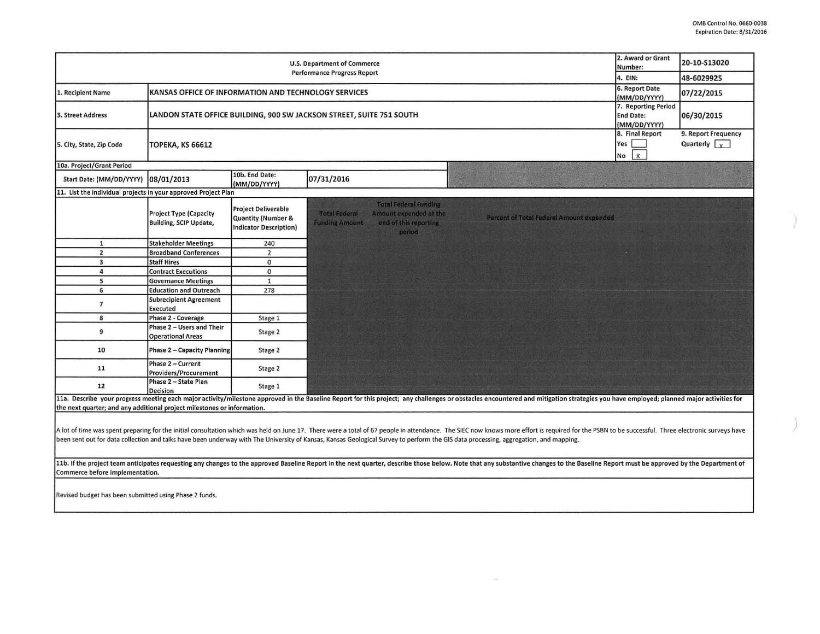J

| <b>U.S. Department of Commerce</b><br><b>Performance Progress Report</b> |                                                                                                                          |                                                                                   |                                                                                                                                            |                                                                                                                                                                                                                                |  | 20-10-S13020                                |
|--------------------------------------------------------------------------|--------------------------------------------------------------------------------------------------------------------------|-----------------------------------------------------------------------------------|--------------------------------------------------------------------------------------------------------------------------------------------|--------------------------------------------------------------------------------------------------------------------------------------------------------------------------------------------------------------------------------|--|---------------------------------------------|
|                                                                          |                                                                                                                          |                                                                                   |                                                                                                                                            |                                                                                                                                                                                                                                |  | 48-6029925                                  |
| 1. Recipient Name                                                        | KANSAS OFFICE OF INFORMATION AND TECHNOLOGY SERVICES                                                                     |                                                                                   |                                                                                                                                            |                                                                                                                                                                                                                                |  | 07/22/2015                                  |
| 3. Street Address                                                        | (MM/DD/YYYY)<br>LANDON STATE OFFICE BUILDING, 900 SW JACKSON STREET, SUITE 751 SOUTH<br><b>End Date:</b><br>(MM/DD/YYYY) |                                                                                   |                                                                                                                                            |                                                                                                                                                                                                                                |  | 7. Reporting Period<br>06/30/2015           |
| 5. City, State, Zip Code                                                 | 8. Final Report<br>Yes<br><b>TOPEKA, KS 66612</b><br>No                                                                  |                                                                                   |                                                                                                                                            |                                                                                                                                                                                                                                |  | 9. Report Frequency<br>Quarterly $\sqrt{x}$ |
| 10a. Project/Grant Period                                                |                                                                                                                          |                                                                                   |                                                                                                                                            |                                                                                                                                                                                                                                |  |                                             |
| Start Date: (MM/DD/YYYY)                                                 | 08/01/2013                                                                                                               | 10b. End Date:<br>(MM/DD/YYYY)                                                    | 07/31/2016                                                                                                                                 |                                                                                                                                                                                                                                |  |                                             |
| 11. List the individual projects in your approved Project Plan           |                                                                                                                          |                                                                                   |                                                                                                                                            |                                                                                                                                                                                                                                |  |                                             |
|                                                                          | <b>Project Type (Capacity</b><br><b>Building, SCIP Update,</b>                                                           | <b>Project Deliverable</b><br>Quantity (Number &<br><b>Indicator Description)</b> | <b>Total Federal Funding</b><br><b>Total Federal</b><br>Amount expended at the<br><b>Funding Amount</b><br>end of this reporting<br>period | Percent of Total Federal Amount expended                                                                                                                                                                                       |  |                                             |
| $\mathbf{1}$                                                             | <b>Stakeholder Meetings</b>                                                                                              | 240                                                                               |                                                                                                                                            |                                                                                                                                                                                                                                |  |                                             |
| $\overline{2}$                                                           | <b>Broadband Conferences</b>                                                                                             | $\overline{2}$                                                                    |                                                                                                                                            |                                                                                                                                                                                                                                |  |                                             |
| 3                                                                        | <b>Staff Hires</b>                                                                                                       | $\bf{0}$                                                                          |                                                                                                                                            |                                                                                                                                                                                                                                |  |                                             |
| 4                                                                        | <b>Contract Executions</b>                                                                                               | $\mathbf{0}$                                                                      |                                                                                                                                            |                                                                                                                                                                                                                                |  |                                             |
| 5                                                                        | <b>Governance Meetings</b>                                                                                               | $\mathbf{1}$                                                                      |                                                                                                                                            |                                                                                                                                                                                                                                |  |                                             |
| 6                                                                        | <b>Education and Outreach</b>                                                                                            | 278                                                                               |                                                                                                                                            |                                                                                                                                                                                                                                |  |                                             |
| $\overline{7}$                                                           | <b>Subrecipient Agreement</b><br>Executed                                                                                |                                                                                   |                                                                                                                                            |                                                                                                                                                                                                                                |  |                                             |
| 8                                                                        | Phase 2 - Coverage                                                                                                       | Stage 1                                                                           |                                                                                                                                            |                                                                                                                                                                                                                                |  |                                             |
| 9                                                                        | Phase 2 - Users and Their<br><b>Operational Areas</b>                                                                    | Stage 2                                                                           |                                                                                                                                            |                                                                                                                                                                                                                                |  |                                             |
| 10                                                                       | Phase 2 - Capacity Planning                                                                                              | Stage 2                                                                           |                                                                                                                                            |                                                                                                                                                                                                                                |  |                                             |
| 11                                                                       | Phase 2 - Current<br>Providers/Procurement                                                                               | Stage 2                                                                           |                                                                                                                                            |                                                                                                                                                                                                                                |  |                                             |
| 12                                                                       | Phase 2 - State Plan<br>Decision                                                                                         | Stage 1                                                                           |                                                                                                                                            |                                                                                                                                                                                                                                |  |                                             |
| the next quarter; and any additional project milestones or information.  |                                                                                                                          |                                                                                   |                                                                                                                                            | 11a. Describe your progress meeting each major activity/milestone approved in the Baseline Report for this project; any challenges or obstacles encountered and mitigation strategies you have employed; planned major activit |  |                                             |

A lot of time was spent preparing for the initial consultation which was held on June 17. There were a total of 67 people in attendance. The SIEC now knows more effort is required for the PSBN to be successful. Three elect been sent out for data collection and talks have been underway with The University of Kansas, Kansas Geological Survey to perform the GIS data processing, aggregation, and mapping.

11b. If the project team anticipates requesting any changes to the approved Baseline Report in the next quarter, describe those below. Note that any substantive changes to the Baseline Report must be approved by the Depart Commerce before implementation.

Revised budget has been submitted using Phase 2 funds.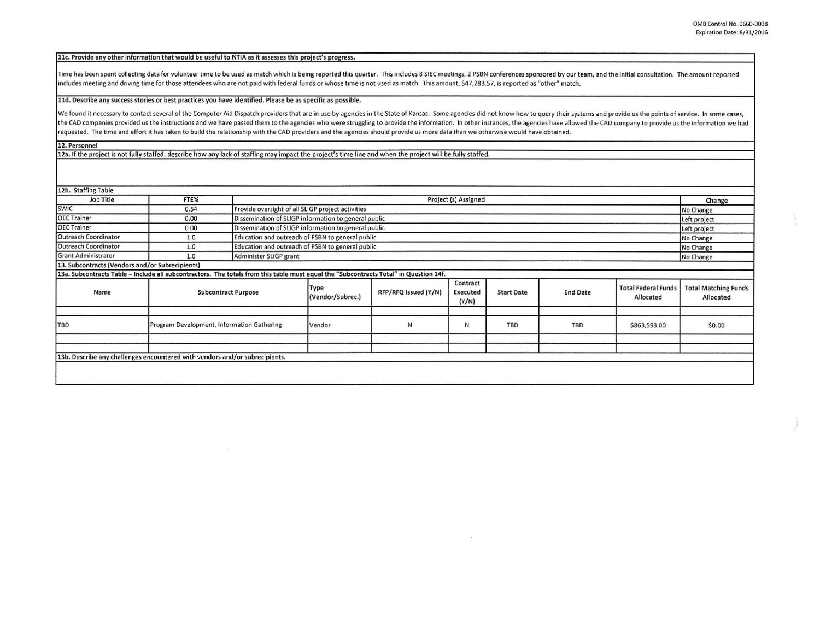## 11c. Provide any other information that would be useful to NTIA as it assesses this project's progress.

Time has been spent collecting data for volunteer time to be used as match which is being reported this quarter. This includes 8 SIEC meetings, 2 PSBN conferences sponsored by our team, and the initial consultation. The am includes meeting and driving time for those attendees who are not paid with federal funds or whose time is not used as match. This amount, S47,283.57, is reported as "other" match.

lld. Describe any success stories or best practices you have identified. Please be as specific as possible.

We found it necessary to contact several of the Computer Aid Dispatch providers that are in use by agencies in the State of Kansas. Some agencies did not know how to query their systems and provide us the points of service the CAD companies provided us the instructions and we have passed them to the agencies who were struggling to provide the information. In other instances, the agencies have allowed the CAD company to provide us the informa requested. The time and effort it has taken to build the relationship with the CAD providers and the agencies should provide us more data than we otherwise would have obtained.

12. Personnel

12a. If the project is not fully staffed, describe how any lack of staffing may impact the project's time line and when the project will be fully staffed.

12b. Staffing Table

| Job Title                                                                                                                             | FTE%                                       |                        | Project (s) Assigned                                                 |                      |                               |                   |                 |                                         | Change                                   |
|---------------------------------------------------------------------------------------------------------------------------------------|--------------------------------------------|------------------------|----------------------------------------------------------------------|----------------------|-------------------------------|-------------------|-----------------|-----------------------------------------|------------------------------------------|
| SWIC                                                                                                                                  | 0.54                                       |                        | Provide oversight of all SLIGP project activities                    |                      |                               |                   |                 |                                         | No Change                                |
| <b>OEC Trainer</b>                                                                                                                    | 0.00                                       |                        | Dissemination of SLIGP information to general public<br>Left project |                      |                               |                   |                 |                                         |                                          |
| <b>OEC Trainer</b>                                                                                                                    | 0.00                                       |                        | Dissemination of SLIGP information to general public<br>Left project |                      |                               |                   |                 |                                         |                                          |
| <b>Outreach Coordinator</b>                                                                                                           | 1.0                                        |                        | Education and outreach of PSBN to general public<br>No Change        |                      |                               |                   |                 |                                         |                                          |
| <b>Outreach Coordinator</b>                                                                                                           | 1.0                                        |                        | Education and outreach of PSBN to general public<br>No Change        |                      |                               |                   |                 |                                         |                                          |
| <b>Grant Administrator</b>                                                                                                            | 1.0                                        | Administer SLIGP grant |                                                                      |                      |                               |                   |                 |                                         | No Change                                |
| 13. Subcontracts (Vendors and/or Subrecipients)                                                                                       |                                            |                        |                                                                      |                      |                               |                   |                 |                                         |                                          |
| 13a. Subcontracts Table - Include all subcontractors. The totals from this table must equal the "Subcontracts Total" in Question 14f. |                                            |                        |                                                                      |                      |                               |                   |                 |                                         |                                          |
| Name                                                                                                                                  | <b>Subcontract Purpose</b>                 |                        | Type<br>(Vendor/Subrec.)                                             | RFP/RFQ Issued (Y/N) | Contract<br>Executed<br>(Y/N) | <b>Start Date</b> | <b>End Date</b> | <b>Total Federal Funds</b><br>Allocated | <b>Total Matching Funds</b><br>Allocated |
|                                                                                                                                       |                                            |                        |                                                                      |                      |                               |                   |                 |                                         |                                          |
| <b>TBD</b>                                                                                                                            | Program Development, Information Gathering |                        | Vendor                                                               | N                    | N                             | <b>TBD</b>        | <b>TBD</b>      | \$863,593.00                            | \$0.00                                   |
|                                                                                                                                       |                                            |                        |                                                                      |                      |                               |                   |                 |                                         |                                          |
|                                                                                                                                       |                                            |                        |                                                                      |                      |                               |                   |                 |                                         |                                          |
| 13b. Describe any challenges encountered with vendors and/or subrecipients.                                                           |                                            |                        |                                                                      |                      |                               |                   |                 |                                         |                                          |
|                                                                                                                                       |                                            |                        |                                                                      |                      |                               |                   |                 |                                         |                                          |